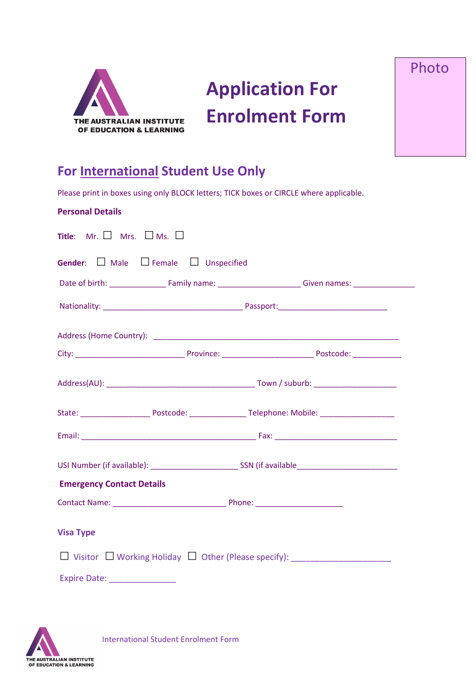

**Application For Enrolment Form** Photo

# **For International Student Use Only**

Please print in boxes using only BLOCK letters; TICK boxes or CIRCLE where applicable.

| <b>Personal Details</b>                                     |                                                                                                                 |  |
|-------------------------------------------------------------|-----------------------------------------------------------------------------------------------------------------|--|
| <b>Title:</b> Mr. $\Box$ Mrs. $\Box$ Ms. $\Box$             |                                                                                                                 |  |
| <b>Gender:</b> $\Box$ Male $\Box$ Female $\Box$ Unspecified |                                                                                                                 |  |
|                                                             |                                                                                                                 |  |
|                                                             |                                                                                                                 |  |
|                                                             | Address (Home Country): 2008 2009 2010 2020 2021 2021 2022 2023 2024 2022 2023 2024 2022 2023 2024 2022 2023 20 |  |
|                                                             |                                                                                                                 |  |
|                                                             |                                                                                                                 |  |
|                                                             |                                                                                                                 |  |
|                                                             |                                                                                                                 |  |
|                                                             |                                                                                                                 |  |
| <b>Emergency Contact Details</b>                            |                                                                                                                 |  |
|                                                             |                                                                                                                 |  |
| <b>Visa Type</b>                                            |                                                                                                                 |  |
|                                                             |                                                                                                                 |  |
|                                                             |                                                                                                                 |  |

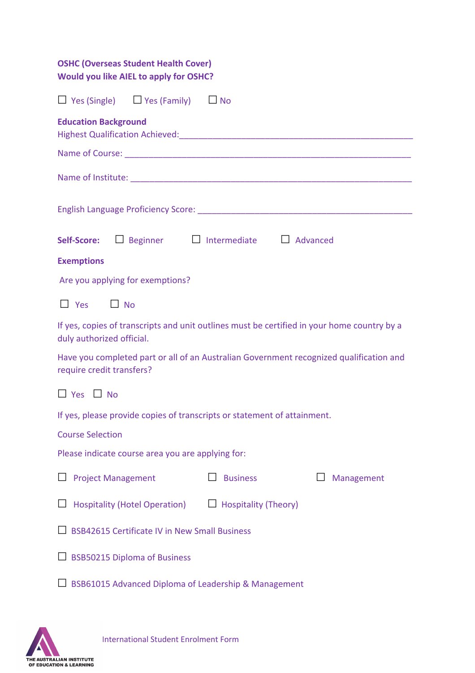| <b>OSHC (Overseas Student Health Cover)</b><br><b>Would you like AIEL to apply for OSHC?</b>                             |  |  |  |  |
|--------------------------------------------------------------------------------------------------------------------------|--|--|--|--|
| $\Box$ Yes (Single) $\Box$ Yes (Family) $\Box$ No                                                                        |  |  |  |  |
| <b>Education Background</b>                                                                                              |  |  |  |  |
|                                                                                                                          |  |  |  |  |
|                                                                                                                          |  |  |  |  |
|                                                                                                                          |  |  |  |  |
| Self-Score: □ Beginner □ Intermediate □ Advanced                                                                         |  |  |  |  |
| <b>Exemptions</b>                                                                                                        |  |  |  |  |
| Are you applying for exemptions?                                                                                         |  |  |  |  |
| $\Box$ Yes<br>$\Box$ No                                                                                                  |  |  |  |  |
| If yes, copies of transcripts and unit outlines must be certified in your home country by a<br>duly authorized official. |  |  |  |  |
| Have you completed part or all of an Australian Government recognized qualification and<br>require credit transfers?     |  |  |  |  |
| $\Box$ Yes $\Box$ No                                                                                                     |  |  |  |  |
| If yes, please provide copies of transcripts or statement of attainment.                                                 |  |  |  |  |
| <b>Course Selection</b>                                                                                                  |  |  |  |  |
| Please indicate course area you are applying for:                                                                        |  |  |  |  |
| <b>Project Management</b><br><b>Business</b><br>Management                                                               |  |  |  |  |
| <b>Hospitality (Hotel Operation)</b><br>$\Box$ Hospitality (Theory)                                                      |  |  |  |  |
| <b>BSB42615 Certificate IV in New Small Business</b>                                                                     |  |  |  |  |
| $\Box$ BSB50215 Diploma of Business                                                                                      |  |  |  |  |
| BSB61015 Advanced Diploma of Leadership & Management                                                                     |  |  |  |  |

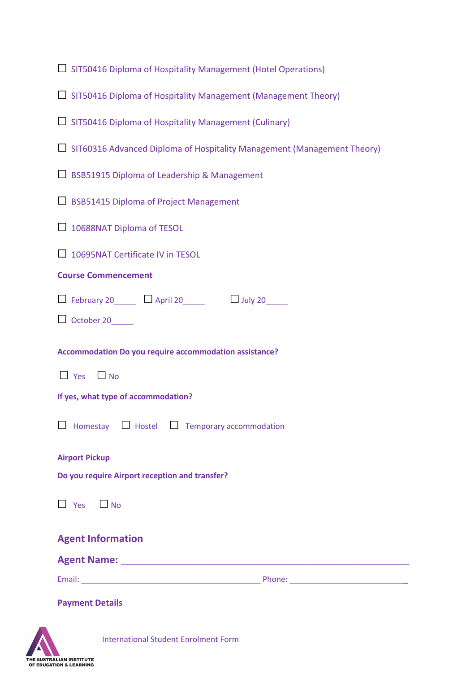|  |  | $\Box$ SIT50416 Diploma of Hospitality Management (Hotel Operations) |  |
|--|--|----------------------------------------------------------------------|--|
|  |  |                                                                      |  |

- ☐ SIT50416 Diploma of Hospitality Management (Management Theory)
- $\Box$  SIT50416 Diploma of Hospitality Management (Culinary)
- $\Box$  SIT60316 Advanced Diploma of Hospitality Management (Management Theory)
- □ BSB51915 Diploma of Leadership & Management
- □ BSB51415 Diploma of Project Management
- □ 10688NAT Diploma of TESOL

□ 10695NAT Certificate IV in TESOL

#### **Course Commencement**

| $\Box$ February 20 | $\Box$ April 20 | $\Box$ July 20 |
|--------------------|-----------------|----------------|
|                    |                 |                |

□ October 20

**Accommodation Do you require accommodation assistance?** 

☐ Yes ☐ No

**If yes, what type of accommodation?**

| $\Box$ Homestay $\Box$ Hostel $\Box$ Temporary accommodation |  |  |  |  |  |
|--------------------------------------------------------------|--|--|--|--|--|
|--------------------------------------------------------------|--|--|--|--|--|

**Airport Pickup** 

**Do you require Airport reception and transfer?** 

 $\Box$  Yes  $\Box$  No

#### **Agent Information**

**Agent Name:** \_\_\_\_\_\_\_\_\_\_\_\_\_\_\_\_\_\_\_\_\_\_\_\_\_\_\_\_\_\_\_\_\_\_\_\_\_\_\_\_\_\_\_\_\_\_\_\_\_\_\_\_\_\_\_\_\_\_\_\_\_\_\_\_\_\_

Email: \_\_\_\_\_\_\_\_\_\_\_\_\_\_\_\_\_\_\_\_\_\_\_\_\_\_\_\_\_\_\_\_\_\_\_\_\_\_\_\_\_ Phone: \_\_\_\_\_\_\_\_\_\_\_\_\_\_\_\_\_\_\_\_\_\_\_\_\_\_\_

**Payment Details**

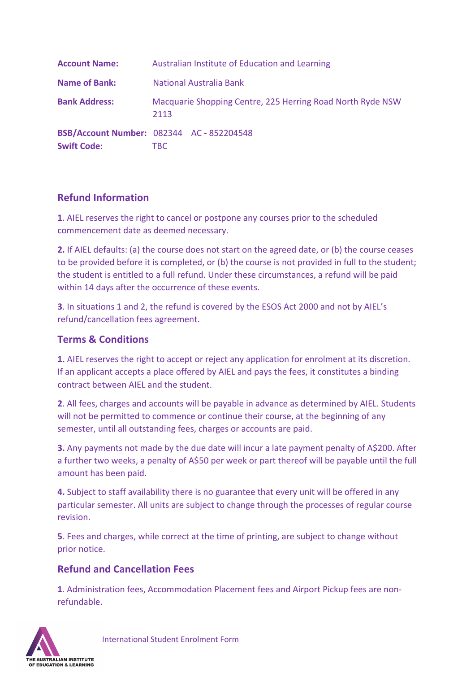| <b>Account Name:</b> | Australian Institute of Education and Learning                     |
|----------------------|--------------------------------------------------------------------|
| <b>Name of Bank:</b> | National Australia Bank                                            |
| <b>Bank Address:</b> | Macquarie Shopping Centre, 225 Herring Road North Ryde NSW<br>2113 |
| <b>Swift Code:</b>   | <b>BSB/Account Number: 082344 AC - 852204548</b><br>TBC.           |

## **Refund Information**

**1**. AIEL reserves the right to cancel or postpone any courses prior to the scheduled commencement date as deemed necessary.

**2.** If AIEL defaults: (a) the course does not start on the agreed date, or (b) the course ceases to be provided before it is completed, or (b) the course is not provided in full to the student; the student is entitled to a full refund. Under these circumstances, a refund will be paid within 14 days after the occurrence of these events.

**3**. In situations 1 and 2, the refund is covered by the ESOS Act 2000 and not by AIEL's refund/cancellation fees agreement.

### **Terms & Conditions**

**1.** AIEL reserves the right to accept or reject any application for enrolment at its discretion. If an applicant accepts a place offered by AIEL and pays the fees, it constitutes a binding contract between AIEL and the student.

**2**. All fees, charges and accounts will be payable in advance as determined by AIEL. Students will not be permitted to commence or continue their course, at the beginning of any semester, until all outstanding fees, charges or accounts are paid.

**3.** Any payments not made by the due date will incur a late payment penalty of A\$200. After a further two weeks, a penalty of A\$50 per week or part thereof will be payable until the full amount has been paid.

**4.** Subject to staff availability there is no guarantee that every unit will be offered in any particular semester. All units are subject to change through the processes of regular course revision.

**5**. Fees and charges, while correct at the time of printing, are subject to change without prior notice.

### **Refund and Cancellation Fees**

**1**. Administration fees, Accommodation Placement fees and Airport Pickup fees are nonrefundable.

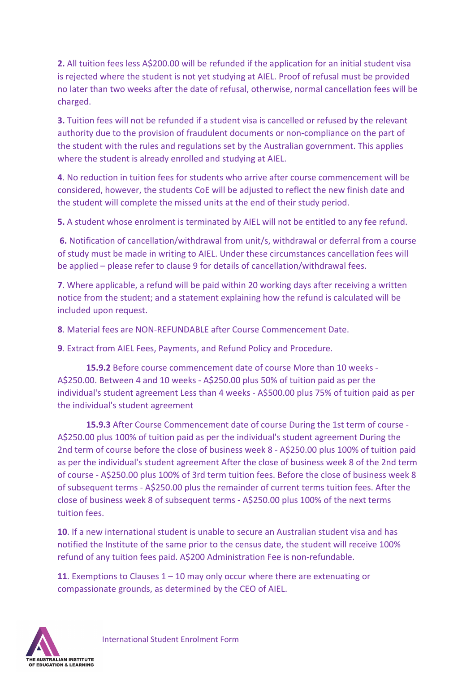**2.** All tuition fees less A\$200.00 will be refunded if the application for an initial student visa is rejected where the student is not yet studying at AIEL. Proof of refusal must be provided no later than two weeks after the date of refusal, otherwise, normal cancellation fees will be charged.

**3.** Tuition fees will not be refunded if a student visa is cancelled or refused by the relevant authority due to the provision of fraudulent documents or non-compliance on the part of the student with the rules and regulations set by the Australian government. This applies where the student is already enrolled and studying at AIEL.

**4**. No reduction in tuition fees for students who arrive after course commencement will be considered, however, the students CoE will be adjusted to reflect the new finish date and the student will complete the missed units at the end of their study period.

**5.** A student whose enrolment is terminated by AIEL will not be entitled to any fee refund.

**6.** Notification of cancellation/withdrawal from unit/s, withdrawal or deferral from a course of study must be made in writing to AIEL. Under these circumstances cancellation fees will be applied – please refer to clause 9 for details of cancellation/withdrawal fees.

**7**. Where applicable, a refund will be paid within 20 working days after receiving a written notice from the student; and a statement explaining how the refund is calculated will be included upon request.

**8**. Material fees are NON-REFUNDABLE after Course Commencement Date.

**9**. Extract from AIEL Fees, Payments, and Refund Policy and Procedure.

**15.9.2** Before course commencement date of course More than 10 weeks - A\$250.00. Between 4 and 10 weeks - A\$250.00 plus 50% of tuition paid as per the individual's student agreement Less than 4 weeks - A\$500.00 plus 75% of tuition paid as per the individual's student agreement

**15.9.3** After Course Commencement date of course During the 1st term of course - A\$250.00 plus 100% of tuition paid as per the individual's student agreement During the 2nd term of course before the close of business week 8 - A\$250.00 plus 100% of tuition paid as per the individual's student agreement After the close of business week 8 of the 2nd term of course - A\$250.00 plus 100% of 3rd term tuition fees. Before the close of business week 8 of subsequent terms - A\$250.00 plus the remainder of current terms tuition fees. After the close of business week 8 of subsequent terms - A\$250.00 plus 100% of the next terms tuition fees.

**10**. If a new international student is unable to secure an Australian student visa and has notified the Institute of the same prior to the census date, the student will receive 100% refund of any tuition fees paid. A\$200 Administration Fee is non-refundable.

**11**. Exemptions to Clauses 1 – 10 may only occur where there are extenuating or compassionate grounds, as determined by the CEO of AIEL.

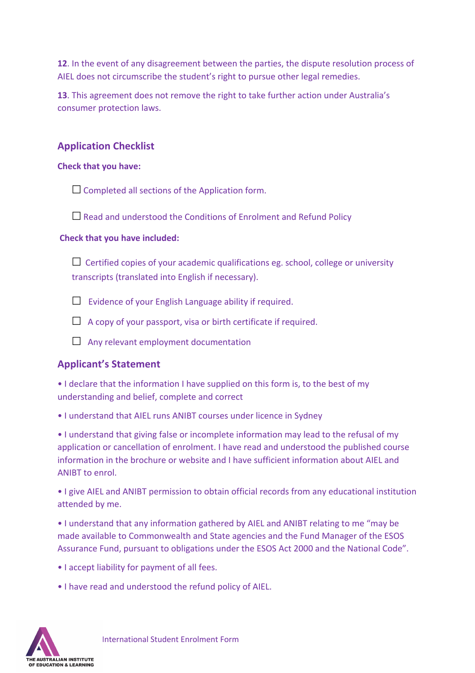**12**. In the event of any disagreement between the parties, the dispute resolution process of AIEL does not circumscribe the student's right to pursue other legal remedies.

**13**. This agreement does not remove the right to take further action under Australia's consumer protection laws.

# **Application Checklist**

#### **Check that you have:**

 $\Box$  Completed all sections of the Application form.

 $\Box$  Read and understood the Conditions of Enrolment and Refund Policy

#### **Check that you have included:**

 $\Box$  Certified copies of your academic qualifications eg. school, college or university transcripts (translated into English if necessary).

 $\Box$  Evidence of your English Language ability if required.

 $\Box$  A copy of your passport, visa or birth certificate if required.

 $\Box$  Any relevant employment documentation

### **Applicant's Statement**

• I declare that the information I have supplied on this form is, to the best of my understanding and belief, complete and correct

• I understand that AIEL runs ANIBT courses under licence in Sydney

• I understand that giving false or incomplete information may lead to the refusal of my application or cancellation of enrolment. I have read and understood the published course information in the brochure or website and I have sufficient information about AIEL and ANIBT to enrol.

• I give AIEL and ANIBT permission to obtain official records from any educational institution attended by me.

• I understand that any information gathered by AIEL and ANIBT relating to me "may be made available to Commonwealth and State agencies and the Fund Manager of the ESOS Assurance Fund, pursuant to obligations under the ESOS Act 2000 and the National Code".

- I accept liability for payment of all fees.
- I have read and understood the refund policy of AIEL.